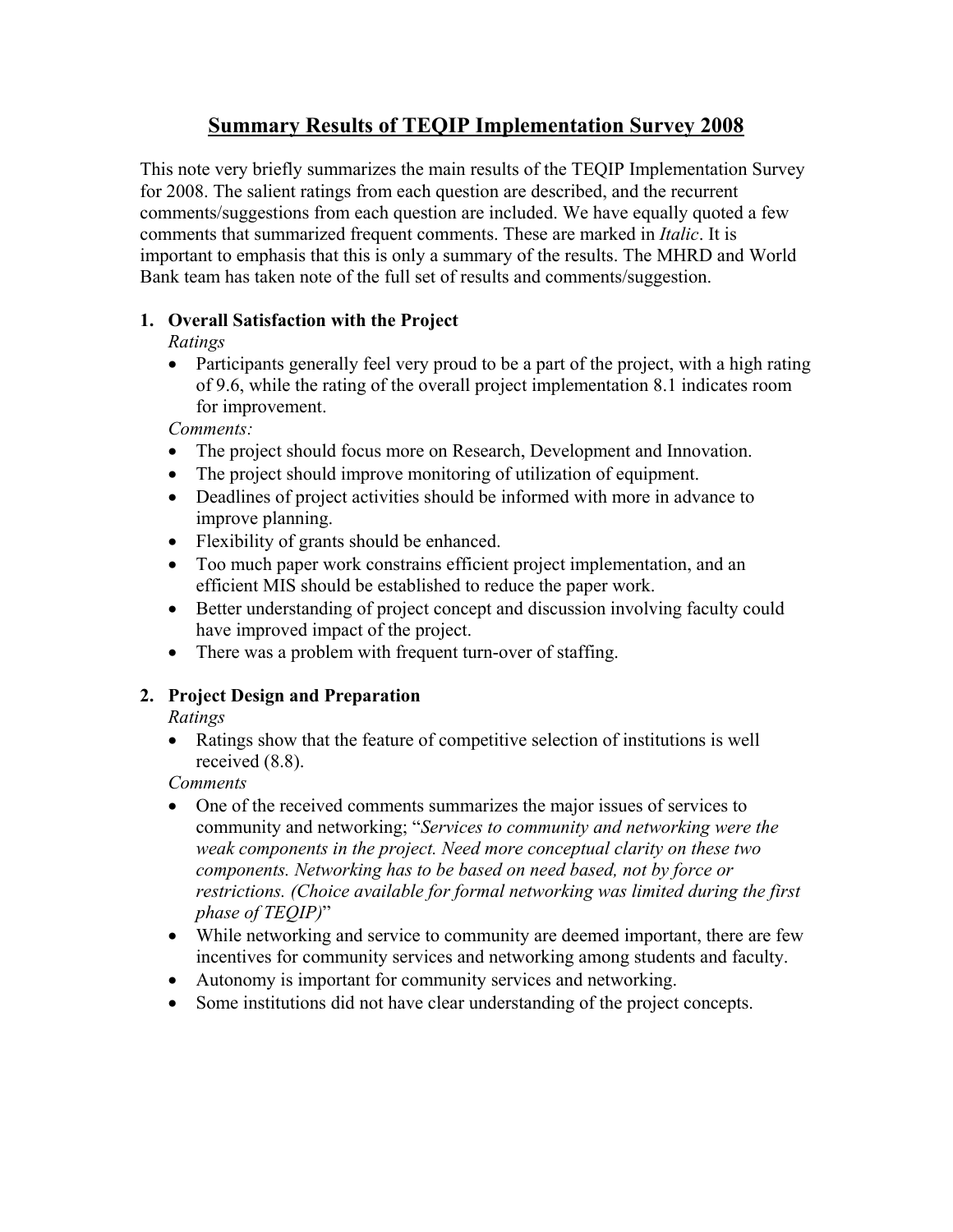# **Summary Results of TEQIP Implementation Survey 2008**

This note very briefly summarizes the main results of the TEQIP Implementation Survey for 2008. The salient ratings from each question are described, and the recurrent comments/suggestions from each question are included. We have equally quoted a few comments that summarized frequent comments. These are marked in *Italic*. It is important to emphasis that this is only a summary of the results. The MHRD and World Bank team has taken note of the full set of results and comments/suggestion.

### **1. Overall Satisfaction with the Project**

*Ratings* 

• Participants generally feel very proud to be a part of the project, with a high rating of 9.6, while the rating of the overall project implementation 8.1 indicates room for improvement.

*Comments:* 

- The project should focus more on Research, Development and Innovation.
- The project should improve monitoring of utilization of equipment.
- Deadlines of project activities should be informed with more in advance to improve planning.
- Flexibility of grants should be enhanced.
- Too much paper work constrains efficient project implementation, and an efficient MIS should be established to reduce the paper work.
- Better understanding of project concept and discussion involving faculty could have improved impact of the project.
- There was a problem with frequent turn-over of staffing.

### **2. Project Design and Preparation**

*Ratings* 

• Ratings show that the feature of competitive selection of institutions is well received (8.8).

*Comments* 

- One of the received comments summarizes the major issues of services to community and networking; "*Services to community and networking were the weak components in the project. Need more conceptual clarity on these two components. Networking has to be based on need based, not by force or restrictions. (Choice available for formal networking was limited during the first phase of TEQIP)*"
- While networking and service to community are deemed important, there are few incentives for community services and networking among students and faculty.
- Autonomy is important for community services and networking.
- Some institutions did not have clear understanding of the project concepts.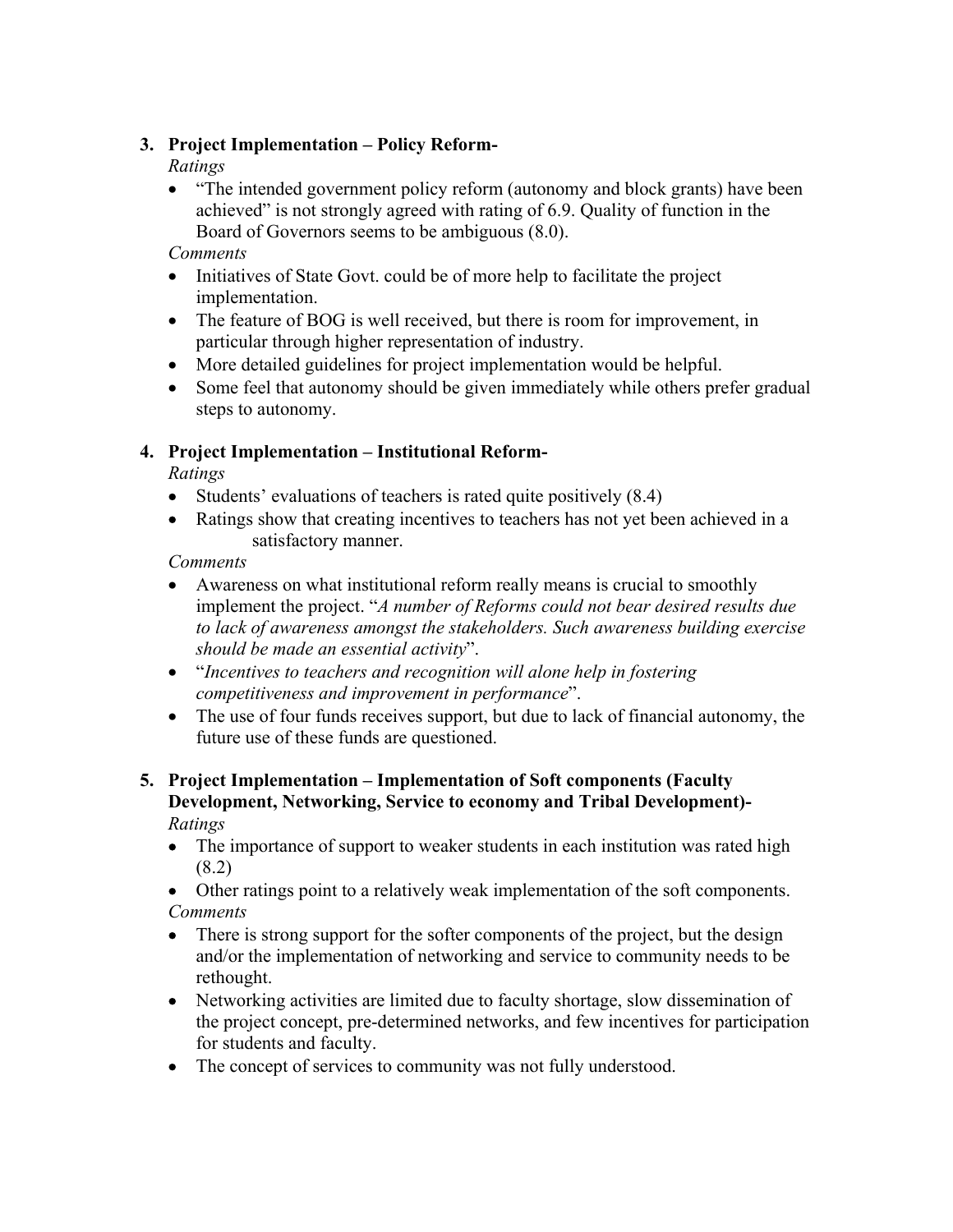### **3. Project Implementation – Policy Reform-**

*Ratings* 

• "The intended government policy reform (autonomy and block grants) have been achieved" is not strongly agreed with rating of 6.9. Quality of function in the Board of Governors seems to be ambiguous (8.0).

*Comments* 

- Initiatives of State Govt. could be of more help to facilitate the project implementation.
- The feature of BOG is well received, but there is room for improvement, in particular through higher representation of industry.
- More detailed guidelines for project implementation would be helpful.
- Some feel that autonomy should be given immediately while others prefer gradual steps to autonomy.

### **4. Project Implementation – Institutional Reform-**

*Ratings* 

- Students' evaluations of teachers is rated quite positively (8.4)
- Ratings show that creating incentives to teachers has not yet been achieved in a satisfactory manner.

*Comments* 

- Awareness on what institutional reform really means is crucial to smoothly implement the project. "*A number of Reforms could not bear desired results due to lack of awareness amongst the stakeholders. Such awareness building exercise should be made an essential activity*".
- "*Incentives to teachers and recognition will alone help in fostering competitiveness and improvement in performance*".
- The use of four funds receives support, but due to lack of financial autonomy, the future use of these funds are questioned.

#### **5. Project Implementation – Implementation of Soft components (Faculty Development, Networking, Service to economy and Tribal Development)-**  *Ratings*

- The importance of support to weaker students in each institution was rated high (8.2)
- Other ratings point to a relatively weak implementation of the soft components. *Comments*
- There is strong support for the softer components of the project, but the design and/or the implementation of networking and service to community needs to be rethought.
- Networking activities are limited due to faculty shortage, slow dissemination of the project concept, pre-determined networks, and few incentives for participation for students and faculty.
- The concept of services to community was not fully understood.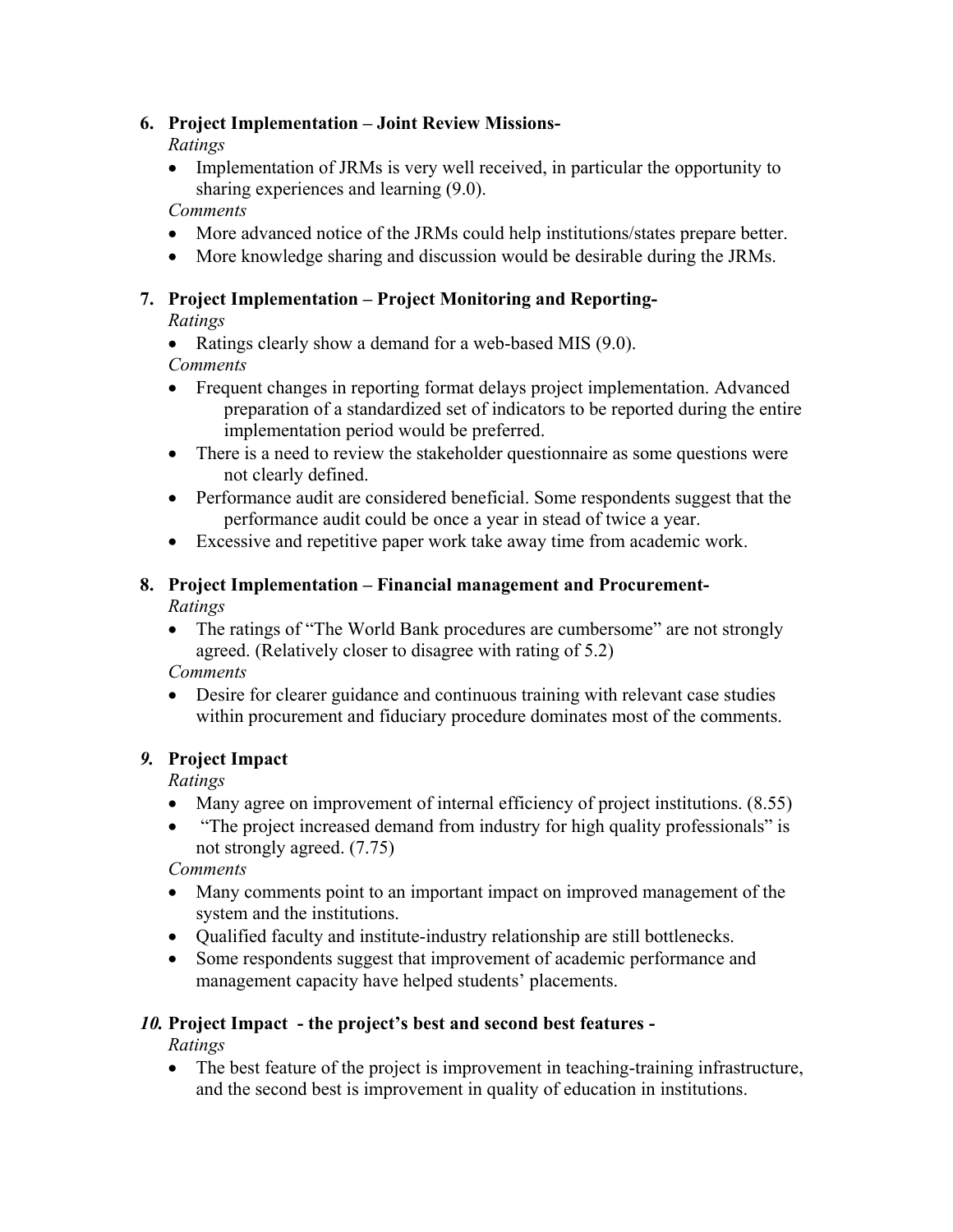### **6. Project Implementation – Joint Review Missions-**

*Ratings* 

• Implementation of JRMs is very well received, in particular the opportunity to sharing experiences and learning (9.0).

*Comments* 

- More advanced notice of the JRMs could help institutions/states prepare better.
- More knowledge sharing and discussion would be desirable during the JRMs.

### **7. Project Implementation – Project Monitoring and Reporting-**

*Ratings* 

• Ratings clearly show a demand for a web-based MIS (9.0).

*Comments* 

- Frequent changes in reporting format delays project implementation. Advanced preparation of a standardized set of indicators to be reported during the entire implementation period would be preferred.
- There is a need to review the stakeholder questionnaire as some questions were not clearly defined.
- Performance audit are considered beneficial. Some respondents suggest that the performance audit could be once a year in stead of twice a year.
- Excessive and repetitive paper work take away time from academic work.

# **8. Project Implementation – Financial management and Procurement-**

*Ratings* 

• The ratings of "The World Bank procedures are cumbersome" are not strongly agreed. (Relatively closer to disagree with rating of 5.2)

*Comments* 

• Desire for clearer guidance and continuous training with relevant case studies within procurement and fiduciary procedure dominates most of the comments.

### *9.* **Project Impact**

*Ratings* 

- Many agree on improvement of internal efficiency of project institutions. (8.55)
- "The project increased demand from industry for high quality professionals" is not strongly agreed. (7.75)

*Comments* 

- Many comments point to an important impact on improved management of the system and the institutions.
- Qualified faculty and institute-industry relationship are still bottlenecks.
- Some respondents suggest that improvement of academic performance and management capacity have helped students' placements.

## *10.* **Project Impact - the project's best and second best features -**

*Ratings* 

• The best feature of the project is improvement in teaching-training infrastructure, and the second best is improvement in quality of education in institutions.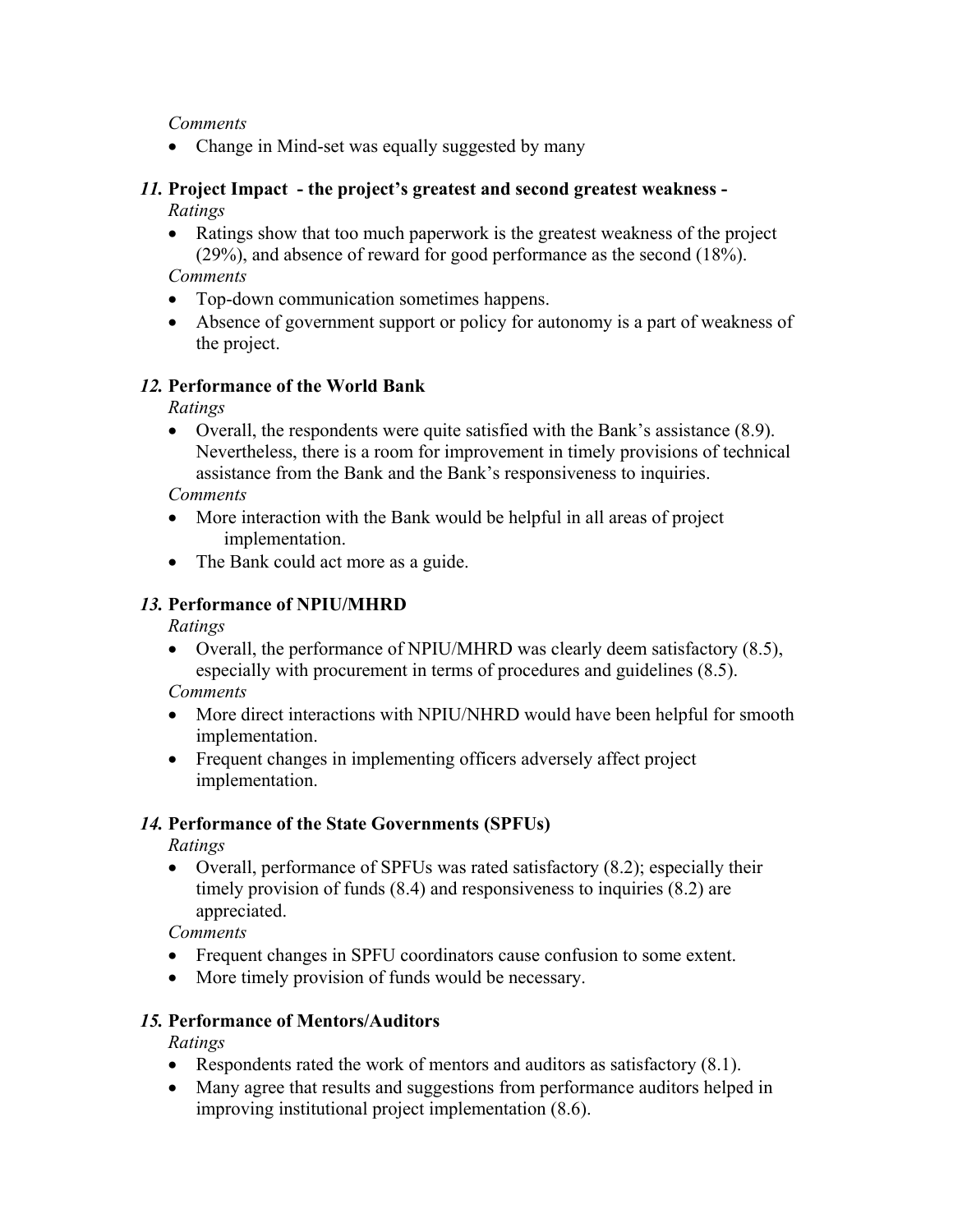*Comments* 

• Change in Mind-set was equally suggested by many

#### *11.* **Project Impact - the project's greatest and second greatest weakness -** *Ratings*

• Ratings show that too much paperwork is the greatest weakness of the project (29%), and absence of reward for good performance as the second (18%).

*Comments* 

- Top-down communication sometimes happens.
- Absence of government support or policy for autonomy is a part of weakness of the project.

### *12.* **Performance of the World Bank**

*Ratings* 

• Overall, the respondents were quite satisfied with the Bank's assistance (8.9). Nevertheless, there is a room for improvement in timely provisions of technical assistance from the Bank and the Bank's responsiveness to inquiries.

*Comments* 

- More interaction with the Bank would be helpful in all areas of project implementation.
- The Bank could act more as a guide.

### *13.* **Performance of NPIU/MHRD**

*Ratings* 

• Overall, the performance of NPIU/MHRD was clearly deem satisfactory (8.5), especially with procurement in terms of procedures and guidelines (8.5).

*Comments* 

- More direct interactions with NPIU/NHRD would have been helpful for smooth implementation.
- Frequent changes in implementing officers adversely affect project implementation.

### *14.* **Performance of the State Governments (SPFUs)**

*Ratings* 

• Overall, performance of SPFUs was rated satisfactory (8.2); especially their timely provision of funds (8.4) and responsiveness to inquiries (8.2) are appreciated.

*Comments* 

- Frequent changes in SPFU coordinators cause confusion to some extent.
- More timely provision of funds would be necessary.

## *15.* **Performance of Mentors/Auditors**

*Ratings* 

- Respondents rated the work of mentors and auditors as satisfactory (8.1).
- Many agree that results and suggestions from performance auditors helped in improving institutional project implementation (8.6).